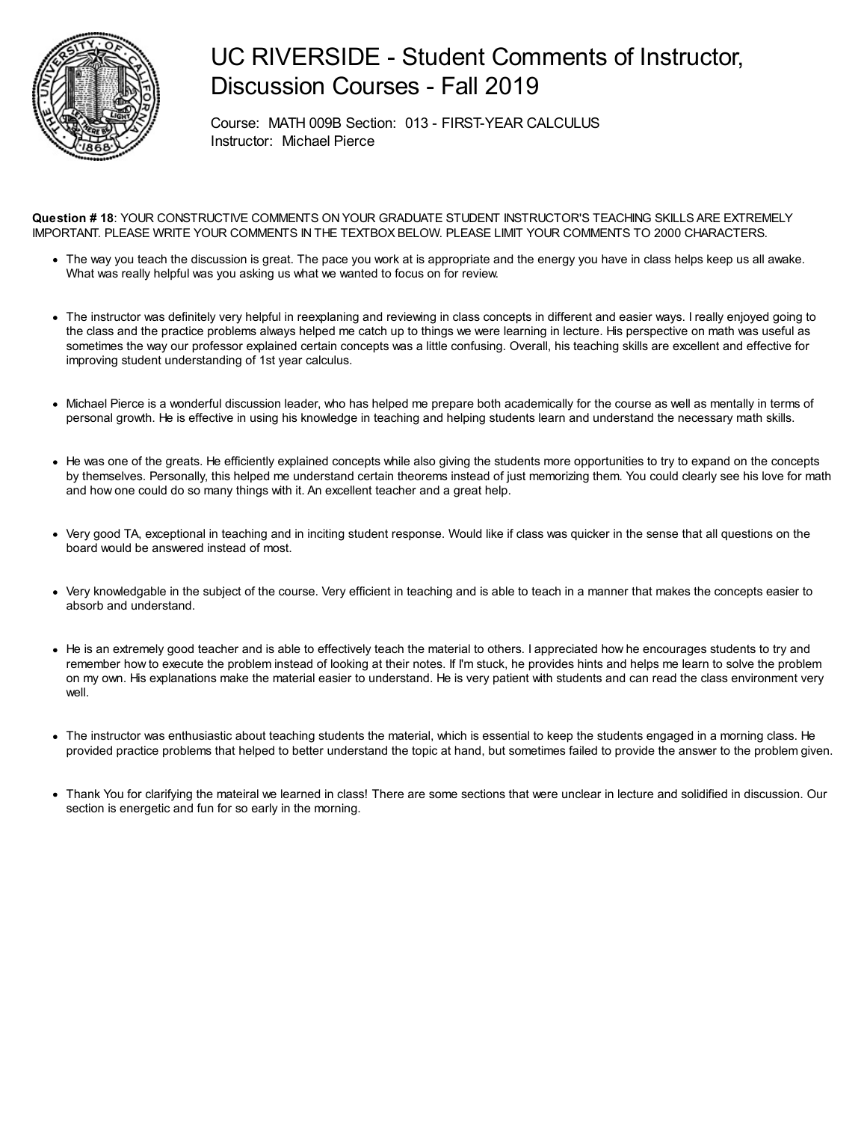

## UC RIVERSIDE - Student Comments of Instructor, Discussion Courses - Fall 2019

Course: MATH 009B Section: 013 - FIRST-YEAR CALCULUS Instructor: Michael Pierce

**Question # 18**: YOUR CONSTRUCTIVE COMMENTS ON YOUR GRADUATE STUDENT INSTRUCTOR'S TEACHING SKILLS ARE EXTREMELY IMPORTANT. PLEASE WRITE YOUR COMMENTS IN THE TEXTBOX BELOW. PLEASE LIMIT YOUR COMMENTS TO 2000 CHARACTERS.

- The way you teach the discussion is great. The pace you work at is appropriate and the energy you have in class helps keep us all awake. What was really helpful was you asking us what we wanted to focus on for review.
- The instructor was definitely very helpful in reexplaning and reviewing in class concepts in different and easier ways. I really enjoyed going to the class and the practice problems always helped me catch up to things we were learning in lecture. His perspective on math was useful as sometimes the way our professor explained certain concepts was a little confusing. Overall, his teaching skills are excellent and effective for improving student understanding of 1st year calculus.
- Michael Pierce is a wonderful discussion leader, who has helped me prepare both academically for the course as well as mentally in terms of personal growth. He is effective in using his knowledge in teaching and helping students learn and understand the necessary math skills.
- He was one of the greats. He efficiently explained concepts while also giving the students more opportunities to try to expand on the concepts by themselves. Personally, this helped me understand certain theorems instead of just memorizing them. You could clearly see his love for math and how one could do so many things with it. An excellent teacher and a great help.
- Very good TA, exceptional in teaching and in inciting student response. Would like if class was quicker in the sense that all questions on the board would be answered instead of most.
- Very knowledgable in the subject of the course. Very efficient in teaching and is able to teach in a manner that makes the concepts easier to absorb and understand.
- He is an extremely good teacher and is able to effectively teach the material to others. I appreciated how he encourages students to try and remember how to execute the problem instead of looking at their notes. If I'm stuck, he provides hints and helps me learn to solve the problem on my own. His explanations make the material easier to understand. He is very patient with students and can read the class environment very well.
- The instructor was enthusiastic about teaching students the material, which is essential to keep the students engaged in a morning class. He provided practice problems that helped to better understand the topic at hand, but sometimes failed to provide the answer to the problem given.
- Thank You for clarifying the mateiral we learned in class! There are some sections that were unclear in lecture and solidified in discussion. Our section is energetic and fun for so early in the morning.